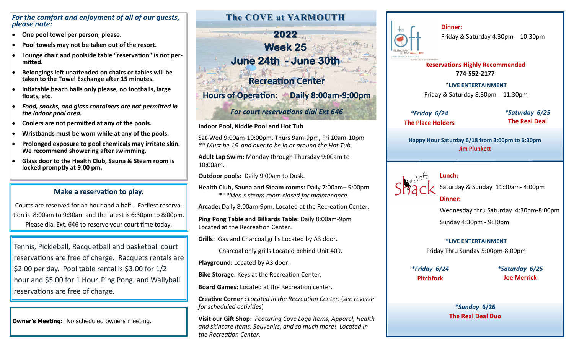### *For the comfort and enjoyment of all of our guests, please note:*

- **One pool towel per person, please.**
- **Pool towels may not be taken out of the resort.**
- **Lounge chair and poolside table "reservation" is not permitted.**
- **Belongings left unattended on chairs or tables will be taken to the Towel Exchange after 15 minutes.**
- **Inflatable beach balls only please, no footballs, large floats, etc.**
- *Food, snacks, and glass containers are not permitted in the indoor pool area.*
- **Coolers are not permitted at any of the pools.**
- **Wristbands must be worn while at any of the pools.**
- **Prolonged exposure to pool chemicals may irritate skin. We recommend showering after swimming.**
- **Glass door to the Health Club, Sauna & Steam room is locked promptly at 9:00 pm.**

## **Make a reservation to play.**

Courts are reserved for an hour and a half. Earliest reservation is 8:00am to 9:30am and the latest is 6:30pm to 8:00pm*.* Please dial Ext. 646 to reserve your court time today.

Tennis, Pickleball, Racquetball and basketball court reservations are free of charge. Racquets rentals are \$2.00 per day. Pool table rental is \$3.00 for 1/2 hour and \$5.00 for 1 Hour. Ping Pong, and Wallyball reservations are free of charge.

**Owner's Meeting:** No scheduled owners meeting.

# **The COVE at YARMOUTH**

**2022**  they between the complete **Week 25 June 24th - June 30th** 

**Recreation Center**

**Hours of Operation**: **Daily 8:00am-9:00pm** 

## *For court reservations dial Ext 646*

#### **Indoor Pool, Kiddie Pool and Hot Tub**

Sat-Wed 9:00am-10:00pm, Thurs 9am-9pm, Fri 10am-10pm *\*\* Must be 16 and over to be in or around the Hot Tub*.

**Adult Lap Swim:** Monday through Thursday 9:00am to 10:00am.

**Outdoor pools:** Daily 9:00am to Dusk.

**Health Club, Sauna and Steam rooms:** Daily 7:00am– 9:00pm \*\**\*Men's steam room closed for maintenance.*

**Arcade:** Daily 8:00am-9pm. Located at the Recreation Center.

**Ping Pong Table and Billiards Table:** Daily 8:00am-9pm Located at the Recreation Center.

**Grills:** Gas and Charcoal grills Located by A3 door.

Charcoal only grills Located behind Unit 409.

**Playground:** Located by A3 door.

**Bike Storage:** Keys at the Recreation Center.

**Board Games:** Located at the Recreation center.

**Creative Corner :** *Located in the Recreation Center*. (*see reverse for scheduled activities*)

**Visit our Gift Shop:** *Featuring Cove Logo items, Apparel, Health and skincare items, Souvenirs, and so much more! Located in the Recreation Center*.



**Dinner:**  Friday & Saturday 4:30pm - 10:30pm

**Reservations Highly Recommended 774-552-2177**

**\*LIVE ENTERTAINMENT**  Friday & Saturday 8:30pm - 11:30pm

*\*Friday 6/24* **The Place Holders** *\*Saturday 6/25* **The Real Deal**

**Happy Hour Saturday 6/18 from 3:00pm to 6:30pm Jim Plunkett** 



Saturday & Sunday 11:30am- 4:00pm

### **Dinner:**

**Lunch:** 

Wednesday thru Saturday 4:30pm-8:00pm

Sunday 4:30pm - 9:30pm

## **\*LIVE ENTERTAINMENT**

Friday Thru Sunday 5:00pm-8:00pm

*\*Friday 6/24* **Pitchfork**

*\*Saturday 6/25* **Joe Merrick**

*\*Sunday* **6/26 The Real Deal Duo**